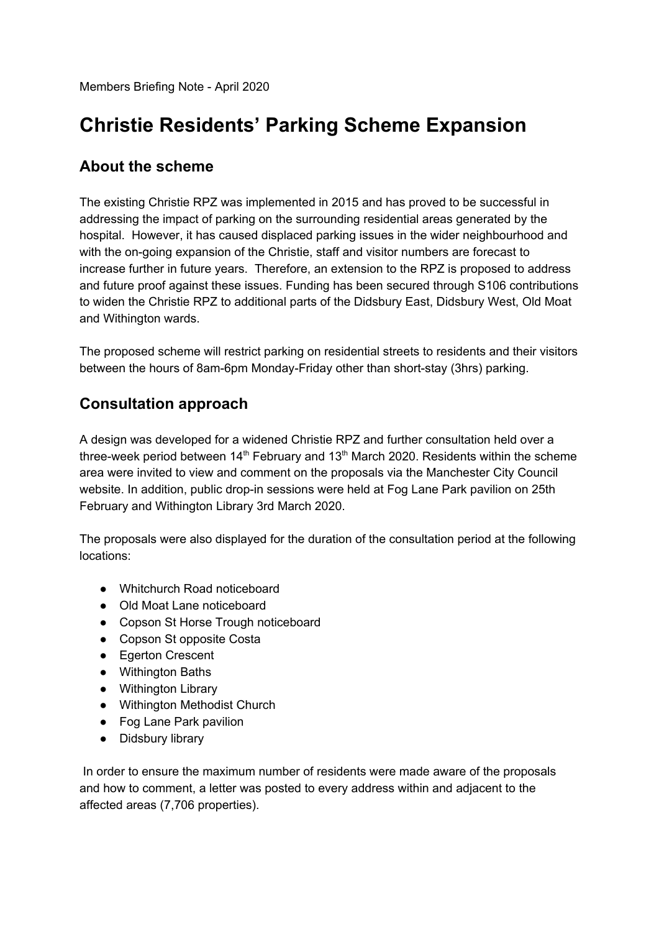Members Briefing Note - April 2020

## **Christie Residents' Parking Scheme Expansion**

## **About the scheme**

The existing Christie RPZ was implemented in 2015 and has proved to be successful in addressing the impact of parking on the surrounding residential areas generated by the hospital. However, it has caused displaced parking issues in the wider neighbourhood and with the on-going expansion of the Christie, staff and visitor numbers are forecast to increase further in future years. Therefore, an extension to the RPZ is proposed to address and future proof against these issues. Funding has been secured through S106 contributions to widen the Christie RPZ to additional parts of the Didsbury East, Didsbury West, Old Moat and Withington wards.

The proposed scheme will restrict parking on residential streets to residents and their visitors between the hours of 8am-6pm Monday-Friday other than short-stay (3hrs) parking.

## **Consultation approach**

A design was developed for a widened Christie RPZ and further consultation held over a three-week period between 14<sup>th</sup> February and 13<sup>th</sup> March 2020. Residents within the scheme area were invited to view and comment on the proposals via the Manchester City Council website. In addition, public drop-in sessions were held at Fog Lane Park pavilion on 25th February and Withington Library 3rd March 2020.

The proposals were also displayed for the duration of the consultation period at the following locations:

- Whitchurch Road noticeboard
- Old Moat Lane noticeboard
- Copson St Horse Trough noticeboard
- Copson St opposite Costa
- Egerton Crescent
- Withington Baths
- Withington Library
- Withington Methodist Church
- Fog Lane Park pavilion
- Didsbury library

In order to ensure the maximum number of residents were made aware of the proposals and how to comment, a letter was posted to every address within and adjacent to the affected areas (7,706 properties).